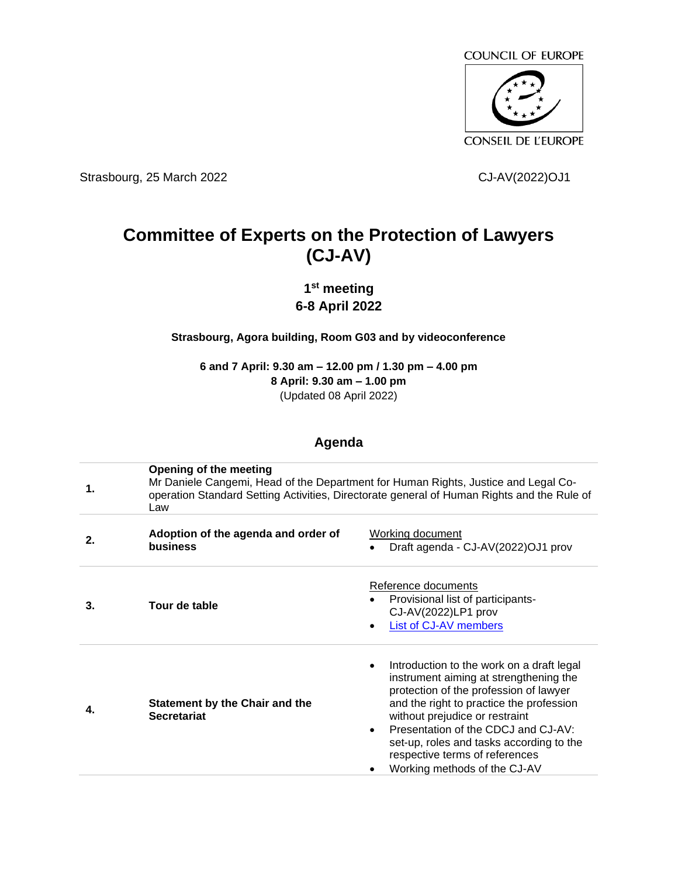

Strasbourg, 25 March 2022 CJ-AV(2022)OJ1

## **Committee of Experts on the Protection of Lawyers (CJ-AV)**

## **1 st meeting 6-8 April 2022**

**Strasbourg, Agora building, Room G03 and by videoconference**

**6 and 7 April: 9.30 am – 12.00 pm / 1.30 pm – 4.00 pm 8 April: 9.30 am – 1.00 pm** (Updated 08 April 2022)

## **Agenda**

| 1. | Opening of the meeting<br>Mr Daniele Cangemi, Head of the Department for Human Rights, Justice and Legal Co-<br>operation Standard Setting Activities, Directorate general of Human Rights and the Rule of<br>Law |                                                                                                                                                                                                                                                                                                                                                                                            |  |
|----|-------------------------------------------------------------------------------------------------------------------------------------------------------------------------------------------------------------------|--------------------------------------------------------------------------------------------------------------------------------------------------------------------------------------------------------------------------------------------------------------------------------------------------------------------------------------------------------------------------------------------|--|
| 2. | Adoption of the agenda and order of<br><b>business</b>                                                                                                                                                            | Working document<br>Draft agenda - CJ-AV(2022)OJ1 prov                                                                                                                                                                                                                                                                                                                                     |  |
| 3. | Tour de table                                                                                                                                                                                                     | Reference documents<br>Provisional list of participants-<br>CJ-AV(2022)LP1 prov<br>List of CJ-AV members                                                                                                                                                                                                                                                                                   |  |
| 4. | <b>Statement by the Chair and the</b><br><b>Secretariat</b>                                                                                                                                                       | Introduction to the work on a draft legal<br>$\bullet$<br>instrument aiming at strengthening the<br>protection of the profession of lawyer<br>and the right to practice the profession<br>without prejudice or restraint<br>Presentation of the CDCJ and CJ-AV:<br>$\bullet$<br>set-up, roles and tasks according to the<br>respective terms of references<br>Working methods of the CJ-AV |  |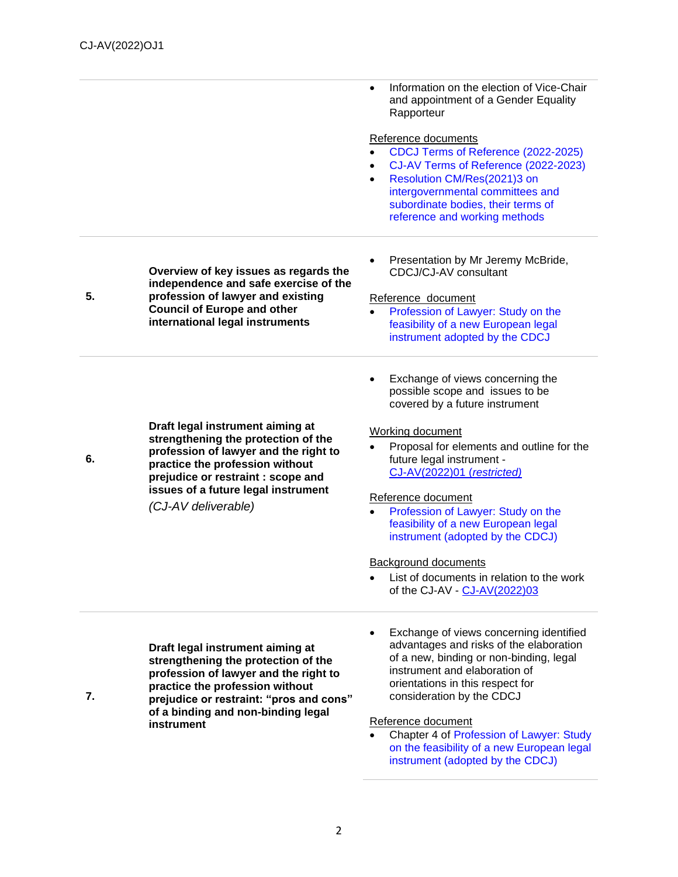|    |                                                                               | Information on the election of Vice-Chair<br>$\bullet$<br>and appointment of a Gender Equality<br>Rapporteur |
|----|-------------------------------------------------------------------------------|--------------------------------------------------------------------------------------------------------------|
|    |                                                                               |                                                                                                              |
|    |                                                                               | Reference documents                                                                                          |
|    |                                                                               | CDCJ Terms of Reference (2022-2025)                                                                          |
|    |                                                                               | CJ-AV Terms of Reference (2022-2023)<br>$\bullet$                                                            |
|    |                                                                               | Resolution CM/Res(2021)3 on                                                                                  |
|    |                                                                               | intergovernmental committees and<br>subordinate bodies, their terms of                                       |
|    |                                                                               | reference and working methods                                                                                |
|    |                                                                               |                                                                                                              |
|    |                                                                               |                                                                                                              |
|    | Overview of key issues as regards the                                         | Presentation by Mr Jeremy McBride,<br>CDCJ/CJ-AV consultant                                                  |
| 5. | independence and safe exercise of the<br>profession of lawyer and existing    | Reference_document                                                                                           |
|    | <b>Council of Europe and other</b>                                            | Profession of Lawyer: Study on the                                                                           |
|    | international legal instruments                                               | feasibility of a new European legal                                                                          |
|    |                                                                               | instrument adopted by the CDCJ                                                                               |
|    |                                                                               |                                                                                                              |
|    |                                                                               | Exchange of views concerning the                                                                             |
|    |                                                                               | possible scope and issues to be                                                                              |
|    |                                                                               | covered by a future instrument                                                                               |
|    | Draft legal instrument aiming at                                              |                                                                                                              |
|    | strengthening the protection of the                                           | Working document                                                                                             |
|    | profession of lawyer and the right to                                         | Proposal for elements and outline for the                                                                    |
| 6. | practice the profession without                                               | future legal instrument -                                                                                    |
|    | prejudice or restraint : scope and                                            | CJ-AV(2022)01 (restricted)                                                                                   |
|    | issues of a future legal instrument                                           | Reference document                                                                                           |
|    | (CJ-AV deliverable)                                                           | Profession of Lawyer: Study on the<br>$\bullet$                                                              |
|    |                                                                               | feasibility of a new European legal                                                                          |
|    |                                                                               | instrument (adopted by the CDCJ)                                                                             |
|    |                                                                               | <b>Background documents</b>                                                                                  |
|    |                                                                               | List of documents in relation to the work                                                                    |
|    |                                                                               | of the CJ-AV - CJ-AV(2022)03                                                                                 |
|    |                                                                               |                                                                                                              |
|    |                                                                               | Exchange of views concerning identified                                                                      |
|    | Draft legal instrument aiming at                                              | advantages and risks of the elaboration                                                                      |
|    | strengthening the protection of the                                           | of a new, binding or non-binding, legal                                                                      |
|    | profession of lawyer and the right to                                         | instrument and elaboration of                                                                                |
| 7. | practice the profession without                                               | orientations in this respect for<br>consideration by the CDCJ                                                |
|    | prejudice or restraint: "pros and cons"<br>of a binding and non-binding legal |                                                                                                              |
|    | instrument                                                                    | Reference document                                                                                           |
|    |                                                                               | Chapter 4 of Profession of Lawyer: Study                                                                     |
|    |                                                                               | on the feasibility of a new European legal                                                                   |

[instrument](https://rm.coe.int/eng-examen-de-faisabilite-d-un-instrument-juridque-europeen-couv-texte/1680a22790) (adopted by the CDCJ)